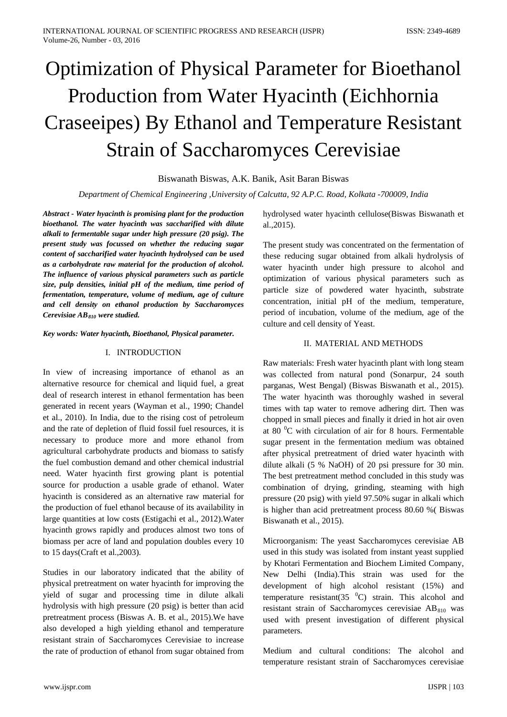# Optimization of Physical Parameter for Bioethanol Production from Water Hyacinth (Eichhornia Craseeipes) By Ethanol and Temperature Resistant Strain of Saccharomyces Cerevisiae

Biswanath Biswas, A.K. Banik, Asit Baran Biswas

*Department of Chemical Engineering ,University of Calcutta, 92 A.P.C. Road, Kolkata -700009, India*

*Abstract - Water hyacinth is promising plant for the production bioethanol. The water hyacinth was saccharified with dilute alkali to fermentable sugar under high pressure (20 psig). The present study was focussed on whether the reducing sugar content of saccharified water hyacinth hydrolysed can be used as a carbohydrate raw material for the production of alcohol. The influence of various physical parameters such as particle size, pulp densities, initial pH of the medium, time period of fermentation, temperature, volume of medium, age of culture and cell density on ethanol production by Saccharomyces Cerevisiae AB810 were studied.*

#### *Key words: Water hyacinth, Bioethanol, Physical parameter.*

#### I. INTRODUCTION

In view of increasing importance of ethanol as an alternative resource for chemical and liquid fuel, a great deal of research interest in ethanol fermentation has been generated in recent years (Wayman et al., 1990; Chandel et al., 2010). In India, due to the rising cost of petroleum and the rate of depletion of fluid fossil fuel resources, it is necessary to produce more and more ethanol from agricultural carbohydrate products and biomass to satisfy the fuel combustion demand and other chemical industrial need. Water hyacinth first growing plant is potential source for production a usable grade of ethanol. Water hyacinth is considered as an alternative raw material for the production of fuel ethanol because of its availability in large quantities at low costs (Estigachi et al., 2012).Water hyacinth grows rapidly and produces almost two tons of biomass per acre of land and population doubles every 10 to 15 days(Craft et al.,2003).

Studies in our laboratory indicated that the ability of physical pretreatment on water hyacinth for improving the yield of sugar and processing time in dilute alkali hydrolysis with high pressure (20 psig) is better than acid pretreatment process (Biswas A. B. et al., 2015).We have also developed a high yielding ethanol and temperature resistant strain of Saccharomyces Cerevisiae to increase the rate of production of ethanol from sugar obtained from hydrolysed water hyacinth cellulose(Biswas Biswanath et al.,2015).

The present study was concentrated on the fermentation of these reducing sugar obtained from alkali hydrolysis of water hyacinth under high pressure to alcohol and optimization of various physical parameters such as particle size of powdered water hyacinth, substrate concentration, initial pH of the medium, temperature, period of incubation, volume of the medium, age of the culture and cell density of Yeast.

## II. MATERIAL AND METHODS

Raw materials: Fresh water hyacinth plant with long steam was collected from natural pond (Sonarpur, 24 south parganas, West Bengal) (Biswas Biswanath et al., 2015). The water hyacinth was thoroughly washed in several times with tap water to remove adhering dirt. Then was chopped in small pieces and finally it dried in hot air oven at 80 $\mathrm{^{0}C}$  with circulation of air for 8 hours. Fermentable sugar present in the fermentation medium was obtained after physical pretreatment of dried water hyacinth with dilute alkali (5 % NaOH) of 20 psi pressure for 30 min. The best pretreatment method concluded in this study was combination of drying, grinding, steaming with high pressure (20 psig) with yield 97.50% sugar in alkali which is higher than acid pretreatment process 80.60 %( Biswas Biswanath et al., 2015).

Microorganism: The yeast Saccharomyces cerevisiae AB used in this study was isolated from instant yeast supplied by Khotari Fermentation and Biochem Limited Company, New Delhi (India).This strain was used for the development of high alcohol resistant (15%) and temperature resistant(35 $\degree$ C) strain. This alcohol and resistant strain of Saccharomyces cerevisiae  $AB_{810}$  was used with present investigation of different physical parameters.

Medium and cultural conditions: The alcohol and temperature resistant strain of Saccharomyces cerevisiae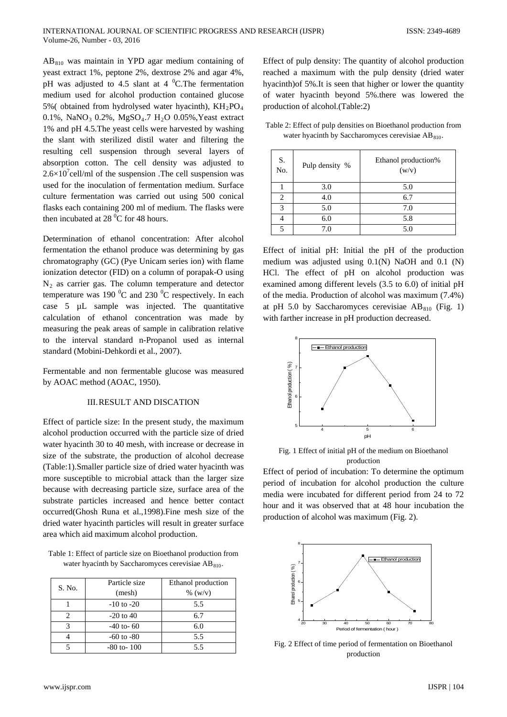$AB_{810}$  was maintain in YPD agar medium containing of yeast extract 1%, peptone 2%, dextrose 2% and agar 4%, pH was adjusted to 4.5 slant at 4  $^{0}$ C. The fermentation medium used for alcohol production contained glucose 5%( obtained from hydrolysed water hyacinth),  $KH_{2}PO_{4}$ 0.1%, NaNO<sub>3</sub> 0.2%, MgSO<sub>4</sub>.7 H<sub>2</sub>O 0.05%, Yeast extract 1% and pH 4.5.The yeast cells were harvested by washing the slant with sterilized distil water and filtering the resulting cell suspension through several layers of absorption cotton. The cell density was adjusted to  $2.6 \times 10^{7}$ cell/ml of the suspension .The cell suspension was used for the inoculation of fermentation medium. Surface culture fermentation was carried out using 500 conical flasks each containing 200 ml of medium. The flasks were then incubated at  $28\,^0C$  for 48 hours.

Determination of ethanol concentration: After alcohol fermentation the ethanol produce was determining by gas chromatography (GC) (Pye Unicam series ion) with flame ionization detector (FID) on a column of porapak-O using  $N_2$  as carrier gas. The column temperature and detector temperature was 190  $\mathrm{^0C}$  and 230  $\mathrm{^0C}$  respectively. In each case 5 µL sample was injected. The quantitative calculation of ethanol concentration was made by measuring the peak areas of sample in calibration relative to the interval standard n-Propanol used as internal standard (Mobini-Dehkordi et al., 2007).

Fermentable and non fermentable glucose was measured by AOAC method (AOAC, 1950).

#### III.RESULT AND DISCATION

Effect of particle size: In the present study, the maximum alcohol production occurred with the particle size of dried water hyacinth 30 to 40 mesh, with increase or decrease in size of the substrate, the production of alcohol decrease (Table:1).Smaller particle size of dried water hyacinth was more susceptible to microbial attack than the larger size because with decreasing particle size, surface area of the substrate particles increased and hence better contact occurred(Ghosh Runa et al.,1998).Fine mesh size of the dried water hyacinth particles will result in greater surface area which aid maximum alcohol production.

Table 1: Effect of particle size on Bioethanol production from water hyacinth by Saccharomyces cerevisiae  $AB_{810}$ .

| S. No. | Particle size<br>(mesh) | Ethanol production<br>% (w/v) |
|--------|-------------------------|-------------------------------|
|        | $-10$ to $-20$          | 5.5                           |
|        | $-20$ to 40             | 6.7                           |
| っ      | $-40$ to-60             | 6.0                           |
|        | $-60$ to $-80$          | 5.5                           |
|        | $-80$ to $-100$         | 5.5                           |

Effect of pulp density: The quantity of alcohol production reached a maximum with the pulp density (dried water hyacinth)of 5%.It is seen that higher or lower the quantity of water hyacinth beyond 5%.there was lowered the production of alcohol.(Table:2)

| Table 2: Effect of pulp densities on Bioethanol production from |
|-----------------------------------------------------------------|
| water hyacinth by Saccharomyces cerevisiae $AB_{810}$ .         |

| S.<br>No. | Pulp density % | Ethanol production%<br>(w/v) |
|-----------|----------------|------------------------------|
|           | 3.0            | 5.0                          |
| 2         | 4.0            | 6.7                          |
| 3         | 5.0            | 7.0                          |
|           | 6.0            | 5.8                          |
| 5         | 7.0            | 5.0                          |

Effect of initial pH: Initial the pH of the production medium was adjusted using 0.1(N) NaOH and 0.1 (N) HCl. The effect of pH on alcohol production was examined among different levels (3.5 to 6.0) of initial pH of the media. Production of alcohol was maximum (7.4%) at pH 5.0 by Saccharomyces cerevisiae  $AB_{810}$  (Fig. 1) with farther increase in pH production decreased.



Fig. 1 Effect of initial pH of the medium on Bioethanol production

Effect of period of incubation: To determine the optimum period of incubation for alcohol production the culture media were incubated for different period from 24 to 72 hour and it was observed that at 48 hour incubation the production of alcohol was maximum (Fig. 2).



Fig. 2 Effect of time period of fermentation on Bioethanol production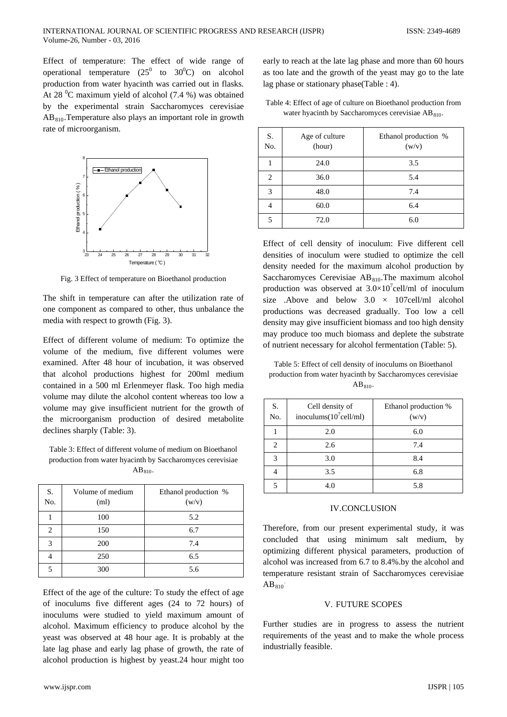Effect of temperature: The effect of wide range of operational temperature  $(25^0)$  to  $30^0$ C) on alcohol production from water hyacinth was carried out in flasks. At 28 $\mathrm{^0C}$  maximum yield of alcohol (7.4 %) was obtained by the experimental strain Saccharomyces cerevisiae  $AB_{810}$ . Temperature also plays an important role in growth rate of microorganism.



Fig. 3 Effect of temperature on Bioethanol production

The shift in temperature can after the utilization rate of one component as compared to other, thus unbalance the media with respect to growth (Fig. 3).

Effect of different volume of medium: To optimize the volume of the medium, five different volumes were examined. After 48 hour of incubation, it was observed that alcohol productions highest for 200ml medium contained in a 500 ml Erlenmeyer flask. Too high media volume may dilute the alcohol content whereas too low a volume may give insufficient nutrient for the growth of the microorganism production of desired metabolite declines sharply (Table: 3).

Table 3: Effect of different volume of medium on Bioethanol production from water hyacinth by Saccharomyces cerevisiae  $AB_{810}$ .

| S.<br>No. | Volume of medium<br>(ml) | Ethanol production %<br>(w/v) |
|-----------|--------------------------|-------------------------------|
|           | 100                      | 5.2                           |
| 2         | 150                      | 6.7                           |
| 3         | 200                      | 7.4                           |
|           | 250                      | 6.5                           |
|           | 300                      | 5.6                           |

Effect of the age of the culture: To study the effect of age of inoculums five different ages (24 to 72 hours) of inoculums were studied to yield maximum amount of alcohol. Maximum efficiency to produce alcohol by the yeast was observed at 48 hour age. It is probably at the late lag phase and early lag phase of growth, the rate of alcohol production is highest by yeast.24 hour might too

early to reach at the late lag phase and more than 60 hours as too late and the growth of the yeast may go to the late lag phase or stationary phase(Table : 4).

| Table 4: Effect of age of culture on Bioethanol production from |  |
|-----------------------------------------------------------------|--|
| water hyacinth by Saccharomyces cerevisiae $AB_{810}$ .         |  |

| S.<br>No. | Age of culture<br>(hour) | Ethanol production %<br>(w/v) |
|-----------|--------------------------|-------------------------------|
|           | 24.0                     | 3.5                           |
| 2         | 36.0                     | 5.4                           |
| 3         | 48.0                     | 7.4                           |
| 4         | 60.0                     | 6.4                           |
| 5         | 72.0                     | 6.0                           |

Effect of cell density of inoculum: Five different cell densities of inoculum were studied to optimize the cell density needed for the maximum alcohol production by Saccharomyces Cerevisiae  $AB_{810}$ . The maximum alcohol production was observed at  $3.0 \times 10^{7}$ cell/ml of inoculum size .Above and below  $3.0 \times 107$ cell/ml alcohol productions was decreased gradually. Too low a cell density may give insufficient biomass and too high density may produce too much biomass and deplete the substrate of nutrient necessary for alcohol fermentation (Table: 5).

Table 5: Effect of cell density of inoculums on Bioethanol production from water hyacinth by Saccharomyces cerevisiae  $AB_{810}$ .

| S.<br>No.      | Cell density of<br>inoculums $(10^7$ cell/ml) | Ethanol production %<br>(w/v) |
|----------------|-----------------------------------------------|-------------------------------|
|                | 2.0                                           | 6.0                           |
| $\mathfrak{D}$ | 2.6                                           | 7.4                           |
| 3              | 3.0                                           | 8.4                           |
| 4              | 3.5                                           | 6.8                           |
| ς              | 4.0                                           | 5.8                           |

#### IV.CONCLUSION

Therefore, from our present experimental study, it was concluded that using minimum salt medium, by optimizing different physical parameters, production of alcohol was increased from 6.7 to 8.4%.by the alcohol and temperature resistant strain of Saccharomyces cerevisiae  $AB<sub>810</sub>$ 

#### V. FUTURE SCOPES

Further studies are in progress to assess the nutrient requirements of the yeast and to make the whole process industrially feasible.